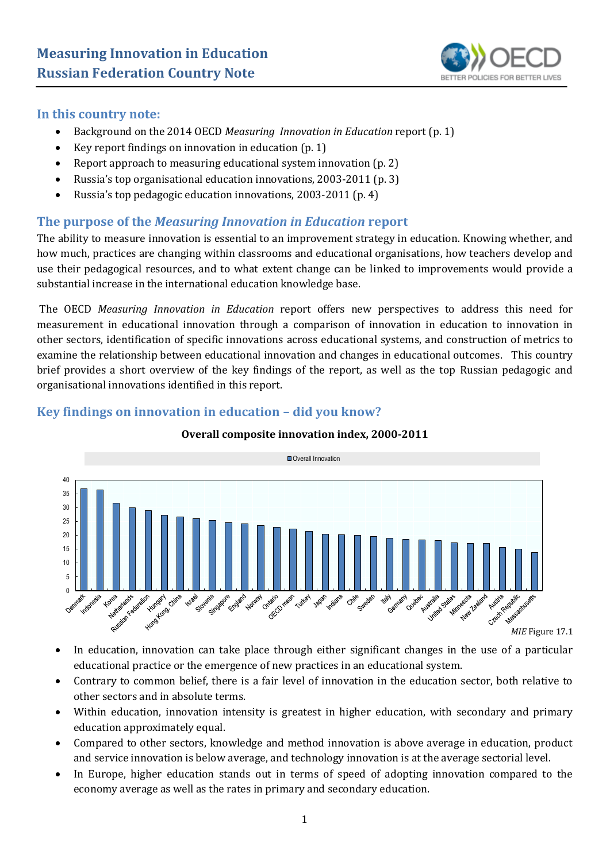

#### **In this country note:**

- Background on the 2014 OECD *Measuring Innovation in Education* report (p. 1)
- Key report findings on innovation in education (p. 1)
- Report approach to measuring educational system innovation (p. 2)
- Russia's top organisational education innovations, 2003-2011 (p. 3)
- Russia's top pedagogic education innovations, 2003-2011 (p. 4)

#### **The purpose of the** *Measuring Innovation in Education* **report**

The ability to measure innovation is essential to an improvement strategy in education. Knowing whether, and how much, practices are changing within classrooms and educational organisations, how teachers develop and use their pedagogical resources, and to what extent change can be linked to improvements would provide a substantial increase in the international education knowledge base.

The OECD *Measuring Innovation in Education* report offers new perspectives to address this need for measurement in educational innovation through a comparison of innovation in education to innovation in other sectors, identification of specific innovations across educational systems, and construction of metrics to examine the relationship between educational innovation and changes in educational outcomes. This country brief provides a short overview of the key findings of the report, as well as the top Russian pedagogic and organisational innovations identified in this report.



#### **Key findings on innovation in education – did you know?**

# **Overall composite innovation index, 2000-2011**

- In education, innovation can take place through either significant changes in the use of a particular educational practice or the emergence of new practices in an educational system.
- Contrary to common belief, there is a fair level of innovation in the education sector, both relative to other sectors and in absolute terms.
- Within education, innovation intensity is greatest in higher education, with secondary and primary education approximately equal.
- Compared to other sectors, knowledge and method innovation is above average in education, product and service innovation is below average, and technology innovation is at the average sectorial level.
- In Europe, higher education stands out in terms of speed of adopting innovation compared to the economy average as well as the rates in primary and secondary education.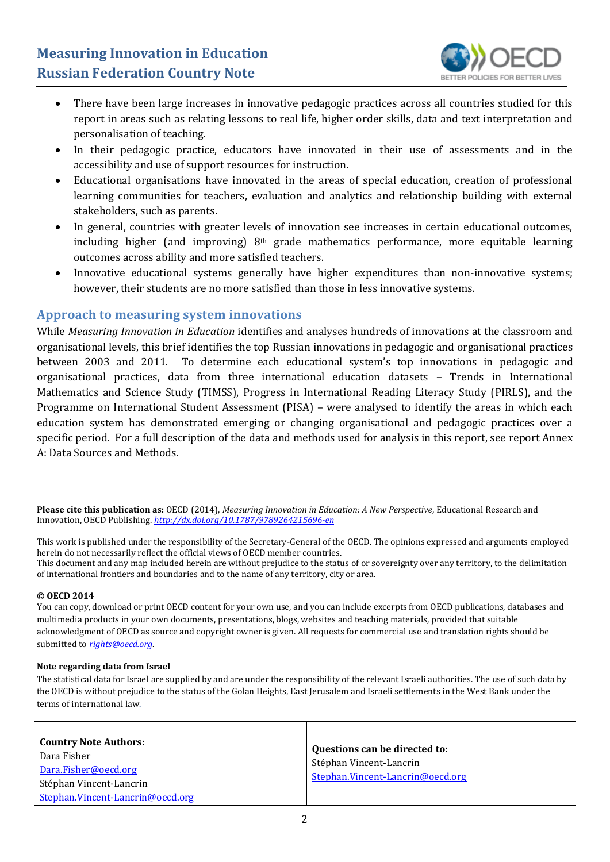

- There have been large increases in innovative pedagogic practices across all countries studied for this report in areas such as relating lessons to real life, higher order skills, data and text interpretation and personalisation of teaching.
- In their pedagogic practice, educators have innovated in their use of assessments and in the accessibility and use of support resources for instruction.
- Educational organisations have innovated in the areas of special education, creation of professional learning communities for teachers, evaluation and analytics and relationship building with external stakeholders, such as parents.
- In general, countries with greater levels of innovation see increases in certain educational outcomes, including higher (and improving)  $8<sup>th</sup>$  grade mathematics performance, more equitable learning outcomes across ability and more satisfied teachers.
- Innovative educational systems generally have higher expenditures than non-innovative systems; however, their students are no more satisfied than those in less innovative systems.

### **Approach to measuring system innovations**

While *Measuring Innovation in Education* identifies and analyses hundreds of innovations at the classroom and organisational levels, this brief identifies the top Russian innovations in pedagogic and organisational practices between 2003 and 2011. To determine each educational system's top innovations in pedagogic and organisational practices, data from three international education datasets – Trends in International Mathematics and Science Study (TIMSS), Progress in International Reading Literacy Study (PIRLS), and the Programme on International Student Assessment (PISA) – were analysed to identify the areas in which each education system has demonstrated emerging or changing organisational and pedagogic practices over a specific period. For a full description of the data and methods used for analysis in this report, see report Annex A: Data Sources and Methods.

**Please cite this publication as:** OECD (2014), *Measuring Innovation in Education: A New Perspective*, Educational Research and Innovation, OECD Publishing. *<http://dx.doi.org/10.1787/9789264215696-en>*

This work is published under the responsibility of the Secretary-General of the OECD. The opinions expressed and arguments employed herein do not necessarily reflect the official views of OECD member countries.

This document and any map included herein are without prejudice to the status of or sovereignty over any territory, to the delimitation of international frontiers and boundaries and to the name of any territory, city or area.

#### **© OECD 2014**

You can copy, download or print OECD content for your own use, and you can include excerpts from OECD publications, databases and multimedia products in your own documents, presentations, blogs, websites and teaching materials, provided that suitable acknowledgment of OECD as source and copyright owner is given. All requests for commercial use and translation rights should be submitted to *[rights@oecd.org](mailto:rights@oecd.org)*.

#### **Note regarding data from Israel**

The statistical data for Israel are supplied by and are under the responsibility of the relevant Israeli authorities. The use of such data by the OECD is without prejudice to the status of the Golan Heights, East Jerusalem and Israeli settlements in the West Bank under the terms of international law.

| <b>Country Note Authors:</b><br>Dara Fisher<br>Dara.Fisher@oecd.org<br>Stéphan Vincent-Lancrin | Questions can be directed to:<br>Stéphan Vincent-Lancrin<br>Stephan.Vincent-Lancrin@oecd.org |
|------------------------------------------------------------------------------------------------|----------------------------------------------------------------------------------------------|
| Stephan.Vincent-Lancrin@oecd.org                                                               |                                                                                              |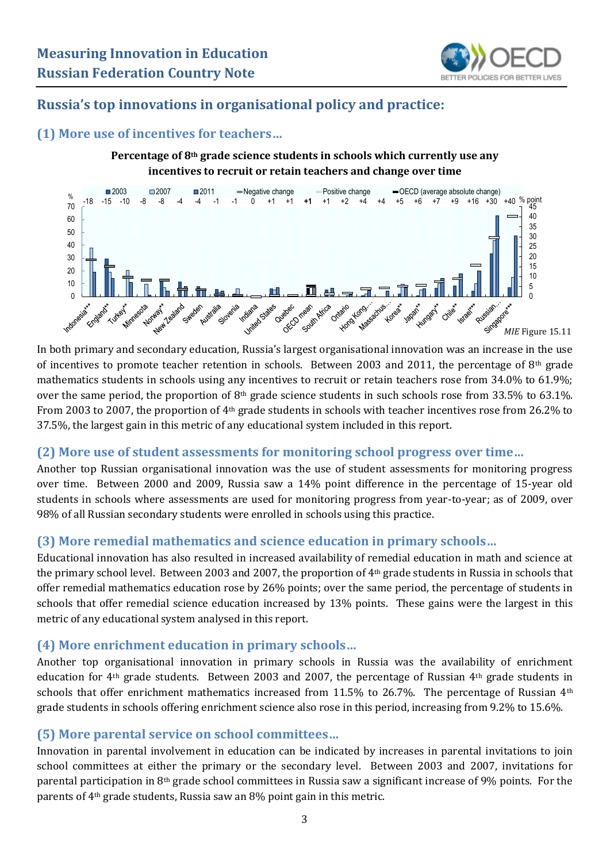

# **Russia's top innovations in organisational policy and practice:**

## **(1) More use of incentives for teachers…**

**Percentage of 8th grade science students in schools which currently use any incentives to recruit or retain teachers and change over time**



In both primary and secondary education, Russia's largest organisational innovation was an increase in the use of incentives to promote teacher retention in schools. Between 2003 and 2011, the percentage of  $8<sup>th</sup>$  grade mathematics students in schools using any incentives to recruit or retain teachers rose from 34.0% to 61.9%; over the same period, the proportion of 8th grade science students in such schools rose from 33.5% to 63.1%. From 2003 to 2007, the proportion of 4th grade students in schools with teacher incentives rose from 26.2% to 37.5%, the largest gain in this metric of any educational system included in this report.

# **(2) More use of student assessments for monitoring school progress over time…**

Another top Russian organisational innovation was the use of student assessments for monitoring progress over time. Between 2000 and 2009, Russia saw a 14% point difference in the percentage of 15-year old students in schools where assessments are used for monitoring progress from year-to-year; as of 2009, over 98% of all Russian secondary students were enrolled in schools using this practice.

# **(3) More remedial mathematics and science education in primary schools…**

Educational innovation has also resulted in increased availability of remedial education in math and science at the primary school level. Between 2003 and 2007, the proportion of 4th grade students in Russia in schools that offer remedial mathematics education rose by 26% points; over the same period, the percentage of students in schools that offer remedial science education increased by 13% points. These gains were the largest in this metric of any educational system analysed in this report.

# **(4) More enrichment education in primary schools…**

Another top organisational innovation in primary schools in Russia was the availability of enrichment education for 4th grade students. Between 2003 and 2007, the percentage of Russian 4th grade students in schools that offer enrichment mathematics increased from 11.5% to 26.7%. The percentage of Russian  $4<sup>th</sup>$ grade students in schools offering enrichment science also rose in this period, increasing from 9.2% to 15.6%.

# **(5) More parental service on school committees…**

Innovation in parental involvement in education can be indicated by increases in parental invitations to join school committees at either the primary or the secondary level. Between 2003 and 2007, invitations for parental participation in 8th grade school committees in Russia saw a significant increase of 9% points. For the parents of 4th grade students, Russia saw an 8% point gain in this metric.